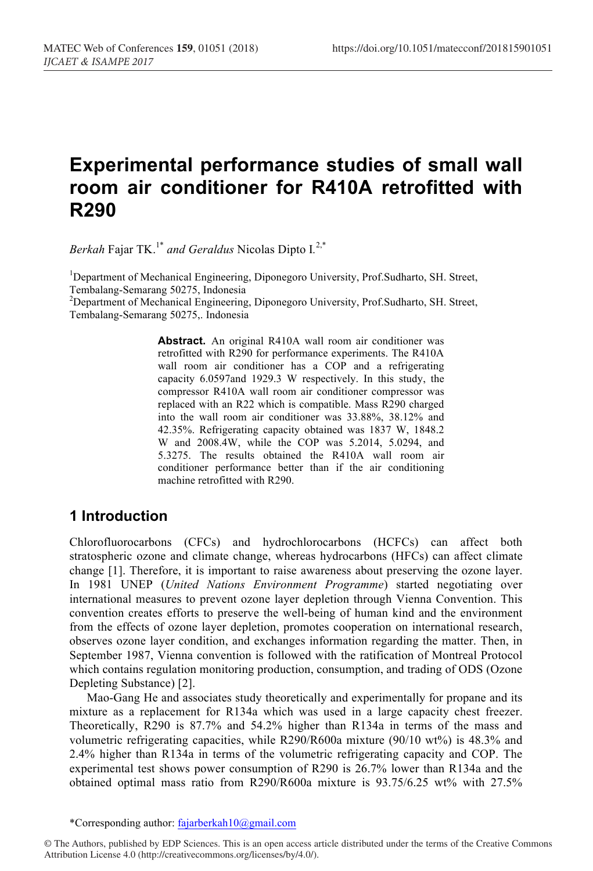# **Experimental performance studies of small wall room air conditioner for R410A retrofitted with R290**

*Berkah* Fajar TK.1\* *and Geraldus* Nicolas Dipto I*.* 2,\*

<sup>1</sup>Department of Mechanical Engineering, Diponegoro University, Prof.Sudharto, SH. Street, Tembalang-Semarang 50275, Indonesia <sup>2</sup>

<sup>2</sup>Department of Mechanical Engineering, Diponegoro University, Prof.Sudharto, SH. Street, Tembalang-Semarang 50275,. Indonesia

> Abstract. An original R410A wall room air conditioner was retrofitted with R290 for performance experiments. The R410A wall room air conditioner has a COP and a refrigerating capacity 6.0597and 1929.3 W respectively. In this study, the compressor R410A wall room air conditioner compressor was replaced with an R22 which is compatible. Mass R290 charged into the wall room air conditioner was 33.88%, 38.12% and 42.35%. Refrigerating capacity obtained was 1837 W, 1848.2 W and 2008.4W, while the COP was 5.2014, 5.0294, and 5.3275. The results obtained the R410A wall room air conditioner performance better than if the air conditioning machine retrofitted with R290.

## **1 Introduction**

Chlorofluorocarbons (CFCs) and hydrochlorocarbons (HCFCs) can affect both stratospheric ozone and climate change, whereas hydrocarbons (HFCs) can affect climate change [1]. Therefore, it is important to raise awareness about preserving the ozone layer. In 1981 UNEP (*United Nations Environment Programme*) started negotiating over international measures to prevent ozone layer depletion through Vienna Convention. This convention creates efforts to preserve the well-being of human kind and the environment from the effects of ozone layer depletion, promotes cooperation on international research, observes ozone layer condition, and exchanges information regarding the matter. Then, in September 1987, Vienna convention is followed with the ratification of Montreal Protocol which contains regulation monitoring production, consumption, and trading of ODS (Ozone Depleting Substance) [2].

Mao-Gang He and associates study theoretically and experimentally for propane and its mixture as a replacement for R134a which was used in a large capacity chest freezer. Theoretically, R290 is 87.7% and 54.2% higher than R134a in terms of the mass and volumetric refrigerating capacities, while R290/R600a mixture (90/10 wt%) is 48.3% and 2.4% higher than R134a in terms of the volumetric refrigerating capacity and COP. The experimental test shows power consumption of R290 is 26.7% lower than R134a and the obtained optimal mass ratio from R290/R600a mixture is 93.75/6.25 wt% with 27.5%

\*Corresponding author: fajarberkah10@gmail.com

© The Authors, published by EDP Sciences. This is an open access article distributed under the terms of the Creative Commons Attribution License 4.0 (http://creativecommons.org/licenses/by/4.0/).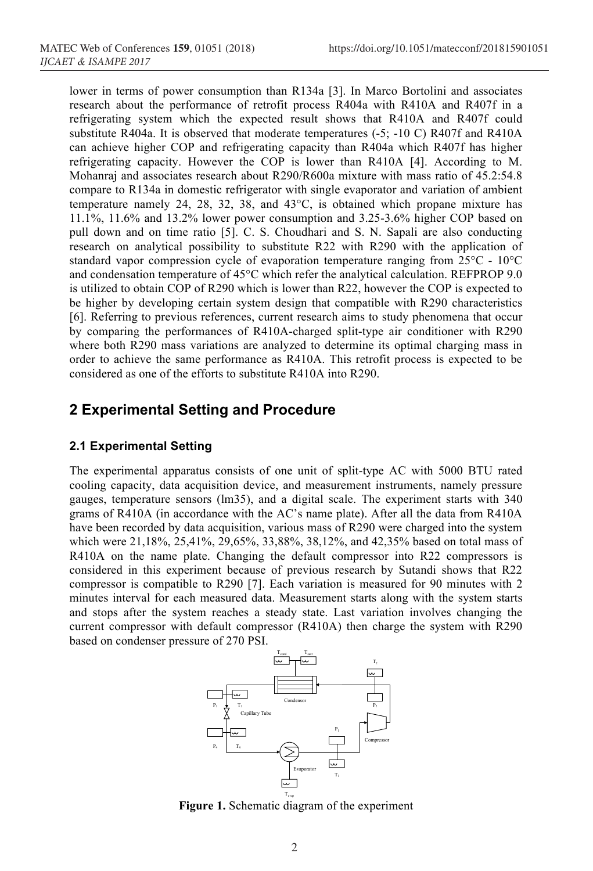lower in terms of power consumption than R134a [3]. In Marco Bortolini and associates research about the performance of retrofit process R404a with R410A and R407f in a refrigerating system which the expected result shows that R410A and R407f could substitute R404a. It is observed that moderate temperatures (-5; -10 C) R407f and R410A can achieve higher COP and refrigerating capacity than R404a which R407f has higher refrigerating capacity. However the COP is lower than R410A [4]. According to M. Mohanraj and associates research about R290/R600a mixture with mass ratio of 45.2:54.8 compare to R134a in domestic refrigerator with single evaporator and variation of ambient temperature namely 24, 28, 32, 38, and 43°C, is obtained which propane mixture has 11.1%, 11.6% and 13.2% lower power consumption and 3.25-3.6% higher COP based on pull down and on time ratio [5]. C. S. Choudhari and S. N. Sapali are also conducting research on analytical possibility to substitute R22 with R290 with the application of standard vapor compression cycle of evaporation temperature ranging from 25°C - 10°C and condensation temperature of 45°C which refer the analytical calculation. REFPROP 9.0 is utilized to obtain COP of R290 which is lower than R22, however the COP is expected to be higher by developing certain system design that compatible with R290 characteristics [6]. Referring to previous references, current research aims to study phenomena that occur by comparing the performances of R410A-charged split-type air conditioner with R290 where both R290 mass variations are analyzed to determine its optimal charging mass in order to achieve the same performance as R410A. This retrofit process is expected to be considered as one of the efforts to substitute R410A into R290.

## **2 Experimental Setting and Procedure**

#### **2.1 Experimental Setting**

The experimental apparatus consists of one unit of split-type AC with 5000 BTU rated cooling capacity, data acquisition device, and measurement instruments, namely pressure gauges, temperature sensors (lm35), and a digital scale. The experiment starts with 340 grams of R410A (in accordance with the AC's name plate). After all the data from R410A have been recorded by data acquisition, various mass of R290 were charged into the system which were 21,18%, 25,41%, 29,65%, 33,88%, 38,12%, and 42,35% based on total mass of R410A on the name plate. Changing the default compressor into R22 compressors is considered in this experiment because of previous research by Sutandi shows that R22 compressor is compatible to R290 [7]. Each variation is measured for 90 minutes with 2 minutes interval for each measured data. Measurement starts along with the system starts and stops after the system reaches a steady state. Last variation involves changing the current compressor with default compressor (R410A) then charge the system with R290 based on condenser pressure of 270 PSI.



**Figure 1.** Schematic diagram of the experiment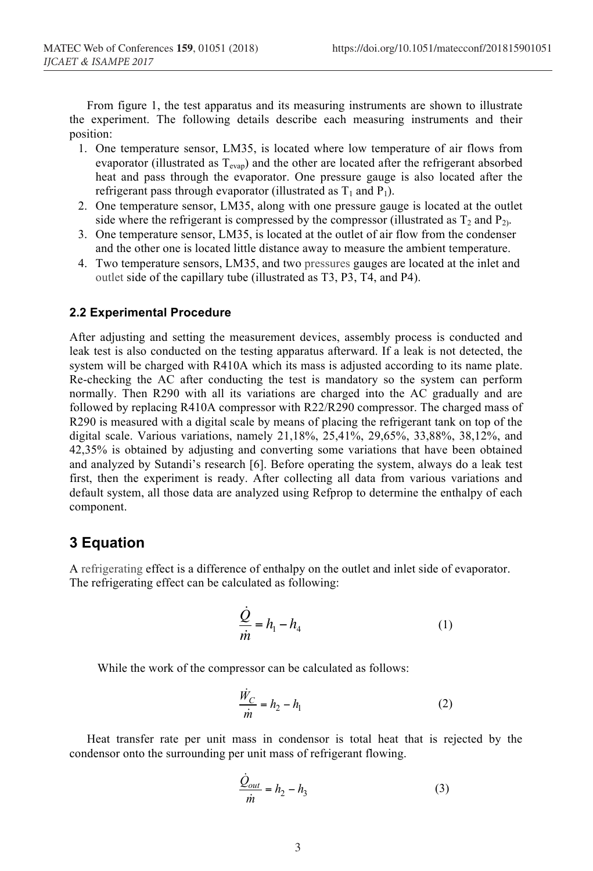From figure 1, the test apparatus and its measuring instruments are shown to illustrate the experiment. The following details describe each measuring instruments and their position:

- 1. One temperature sensor, LM35, is located where low temperature of air flows from evaporator (illustrated as T<sub>evap</sub>) and the other are located after the refrigerant absorbed heat and pass through the evaporator. One pressure gauge is also located after the refrigerant pass through evaporator (illustrated as  $T_1$  and  $P_1$ ).
- 2. One temperature sensor, LM35, along with one pressure gauge is located at the outlet side where the refrigerant is compressed by the compressor (illustrated as  $T_2$  and  $P_2$ ).
- 3. One temperature sensor, LM35, is located at the outlet of air flow from the condenser and the other one is located little distance away to measure the ambient temperature.
- 4. Two temperature sensors, LM35, and two pressures gauges are located at the inlet and outlet side of the capillary tube (illustrated as T3, P3, T4, and P4).

#### **2.2 Experimental Procedure**

After adjusting and setting the measurement devices, assembly process is conducted and leak test is also conducted on the testing apparatus afterward. If a leak is not detected, the system will be charged with R410A which its mass is adjusted according to its name plate. Re-checking the AC after conducting the test is mandatory so the system can perform normally. Then R290 with all its variations are charged into the AC gradually and are followed by replacing R410A compressor with R22/R290 compressor. The charged mass of R290 is measured with a digital scale by means of placing the refrigerant tank on top of the digital scale. Various variations, namely 21,18%, 25,41%, 29,65%, 33,88%, 38,12%, and 42,35% is obtained by adjusting and converting some variations that have been obtained and analyzed by Sutandi's research [6]. Before operating the system, always do a leak test first, then the experiment is ready. After collecting all data from various variations and default system, all those data are analyzed using Refprop to determine the enthalpy of each component.

## **3 Equation**

A refrigerating effect is a difference of enthalpy on the outlet and inlet side of evaporator. The refrigerating effect can be calculated as following:

$$
\frac{\dot{Q}}{\dot{m}} = h_1 - h_4 \tag{1}
$$

While the work of the compressor can be calculated as follows:

$$
\frac{\dot{W}_C}{\dot{m}} = h_2 - h_1 \tag{2}
$$

Heat transfer rate per unit mass in condensor is total heat that is rejected by the condensor onto the surrounding per unit mass of refrigerant flowing.

$$
\frac{\dot{Q}_{out}}{\dot{m}} = h_2 - h_3 \tag{3}
$$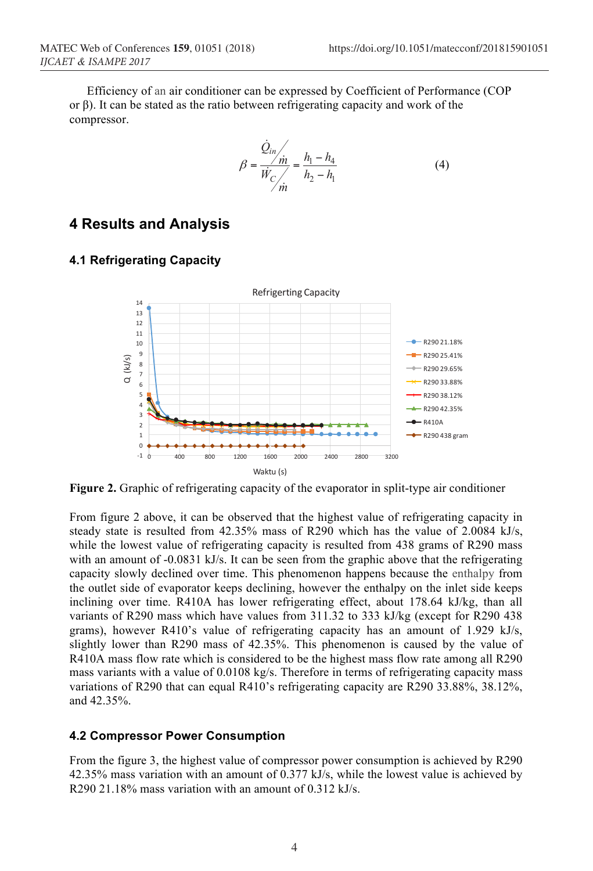Efficiency of an air conditioner can be expressed by Coefficient of Performance (COP or β). It can be stated as the ratio between refrigerating capacity and work of the compressor.

$$
\beta = \frac{\dot{Q}_{in}}{\dot{W}_{C}} = \frac{h_1 - h_4}{h_2 - h_1}
$$
(4)

#### **4 Results and Analysis**

#### **4.1 Refrigerating Capacity**



**Figure 2.** Graphic of refrigerating capacity of the evaporator in split-type air conditioner

From figure 2 above, it can be observed that the highest value of refrigerating capacity in steady state is resulted from 42.35% mass of R290 which has the value of 2.0084 kJ/s, while the lowest value of refrigerating capacity is resulted from 438 grams of R290 mass with an amount of -0.0831 kJ/s. It can be seen from the graphic above that the refrigerating capacity slowly declined over time. This phenomenon happens because the enthalpy from the outlet side of evaporator keeps declining, however the enthalpy on the inlet side keeps inclining over time. R410A has lower refrigerating effect, about 178.64 kJ/kg, than all variants of R290 mass which have values from 311.32 to 333 kJ/kg (except for R290 438 grams), however R410's value of refrigerating capacity has an amount of 1.929 kJ/s, slightly lower than R290 mass of 42.35%. This phenomenon is caused by the value of R410A mass flow rate which is considered to be the highest mass flow rate among all R290 mass variants with a value of 0.0108 kg/s. Therefore in terms of refrigerating capacity mass variations of R290 that can equal R410's refrigerating capacity are R290 33.88%, 38.12%, and 42.35%.

#### **4.2 Compressor Power Consumption**

From the figure 3, the highest value of compressor power consumption is achieved by R290 42.35% mass variation with an amount of 0.377 kJ/s, while the lowest value is achieved by R290 21.18% mass variation with an amount of 0.312 kJ/s.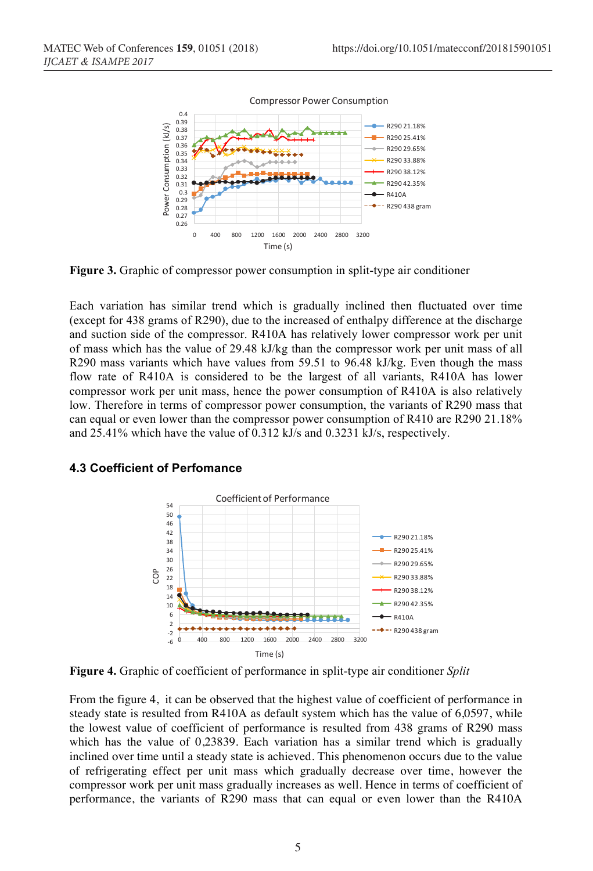

**Figure 3.** Graphic of compressor power consumption in split-type air conditioner

Each variation has similar trend which is gradually inclined then fluctuated over time (except for 438 grams of R290), due to the increased of enthalpy difference at the discharge and suction side of the compressor. R410A has relatively lower compressor work per unit of mass which has the value of 29.48 kJ/kg than the compressor work per unit mass of all R290 mass variants which have values from 59.51 to 96.48 kJ/kg. Even though the mass flow rate of R410A is considered to be the largest of all variants, R410A has lower compressor work per unit mass, hence the power consumption of R410A is also relatively low. Therefore in terms of compressor power consumption, the variants of R290 mass that can equal or even lower than the compressor power consumption of R410 are R290 21.18% and 25.41% which have the value of 0.312 kJ/s and 0.3231 kJ/s, respectively.



#### **4.3 Coefficient of Perfomance**

**Figure 4.** Graphic of coefficient of performance in split-type air conditioner *Split*

From the figure 4, it can be observed that the highest value of coefficient of performance in steady state is resulted from R410A as default system which has the value of 6,0597, while the lowest value of coefficient of performance is resulted from 438 grams of R290 mass which has the value of 0,23839. Each variation has a similar trend which is gradually inclined over time until a steady state is achieved. This phenomenon occurs due to the value of refrigerating effect per unit mass which gradually decrease over time, however the compressor work per unit mass gradually increases as well. Hence in terms of coefficient of performance, the variants of R290 mass that can equal or even lower than the R410A